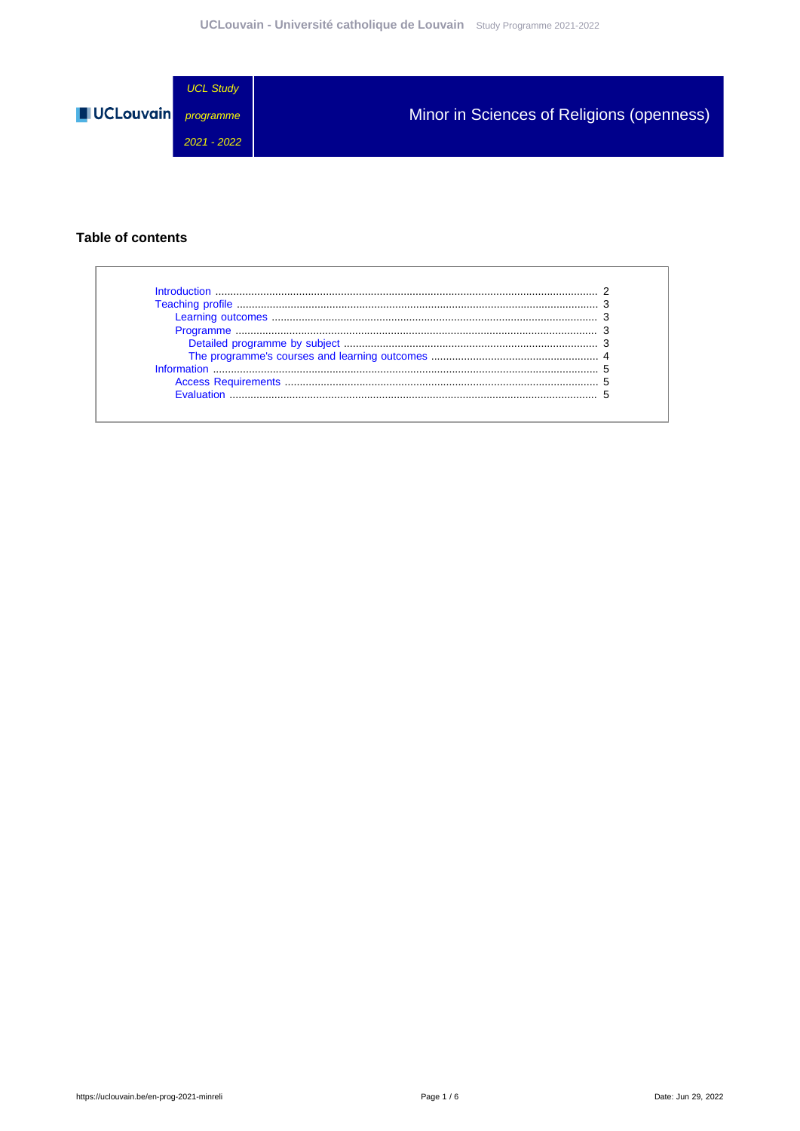

#### **Table of contents**

 $\Gamma$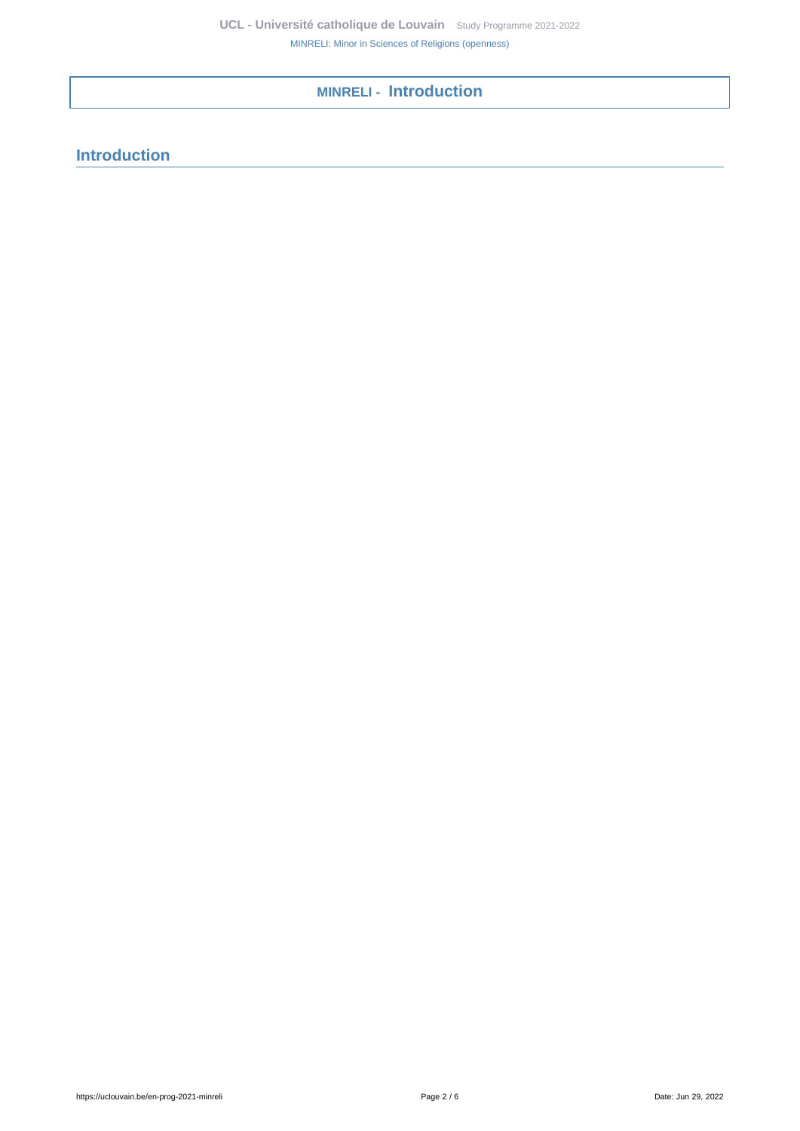# <span id="page-1-0"></span>**MINRELI - Introduction**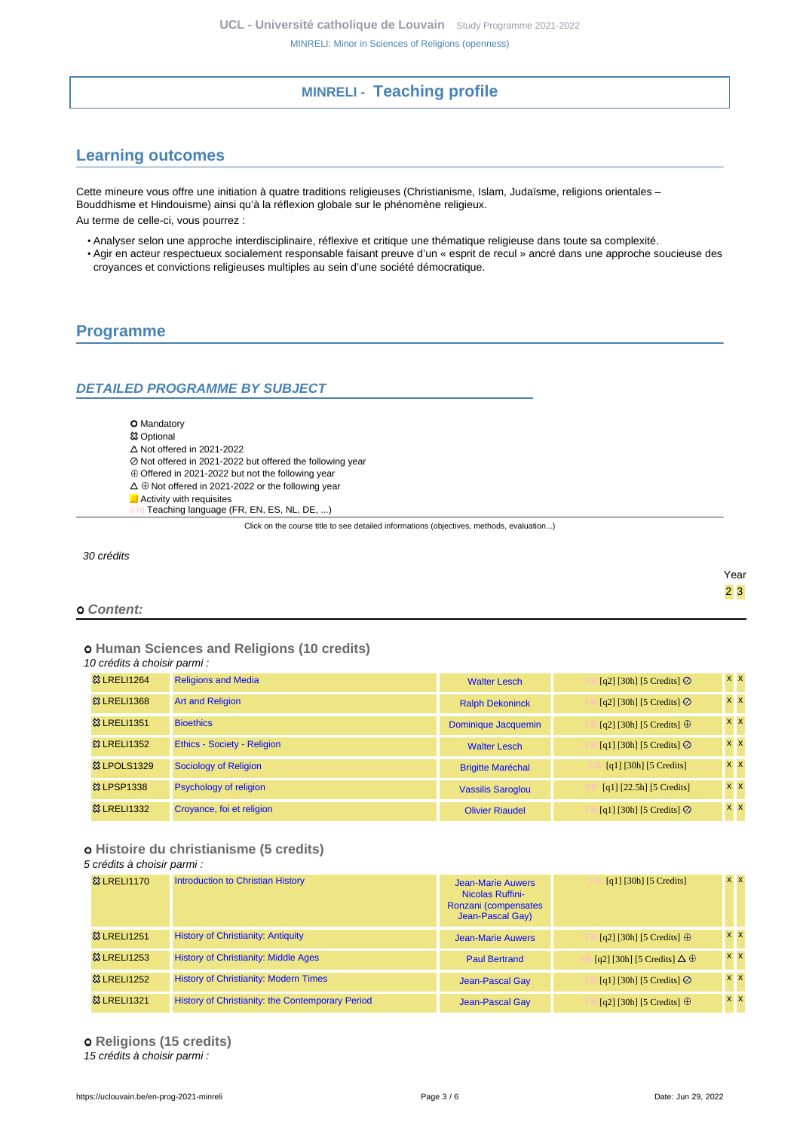## **MINRELI - Teaching profile**

## <span id="page-2-1"></span><span id="page-2-0"></span>**Learning outcomes**

Cette mineure vous offre une initiation à quatre traditions religieuses (Christianisme, Islam, Judaïsme, religions orientales – Bouddhisme et Hindouisme) ainsi qu'à la réflexion globale sur le phénomène religieux.

Au terme de celle-ci, vous pourrez :

- Analyser selon une approche interdisciplinaire, réflexive et critique une thématique religieuse dans toute sa complexité.
- Agir en acteur respectueux socialement responsable faisant preuve d'un « esprit de recul » ancré dans une approche soucieuse des croyances et convictions religieuses multiples au sein d'une société démocratique.

## <span id="page-2-2"></span>**Programme**

#### <span id="page-2-3"></span>**DETAILED PROGRAMME BY SUBJECT**

- **O** Mandatory
- **<sup>83</sup> Optional**
- $\triangle$  Not offered in 2021-2022
- Not offered in 2021-2022 but offered the following year
- $\oplus$  Offered in 2021-2022 but not the following year
- $\Delta \oplus$  Not offered in 2021-2022 or the following year
- **Activity with requisites** 
	- Teaching language (FR, EN, ES, NL, DE, ...)

Click on the course title to see detailed informations (objectives, methods, evaluation...)

30 crédits

Year 2 3

#### **Content:**

# **Human Sciences and Religions (10 credits)**

10 crédits à choisir parmi :

| <b>&amp; LRELI1264</b>  | <b>Religions and Media</b>         | <b>Walter Lesch</b>      | [q2] [30h] [5 Credits] $\odot$                         | <b>XX</b>        |
|-------------------------|------------------------------------|--------------------------|--------------------------------------------------------|------------------|
| <b>&amp; LRELI1368</b>  | <b>Art and Religion</b>            | <b>Ralph Dekoninck</b>   | [q2] [30h] [5 Credits] $\odot$                         | $x \, x$         |
| <b>&amp;3 LRELI1351</b> | <b>Bioethics</b>                   | Dominique Jacquemin      | [q2] [30h] [5 Credits] $\oplus$                        | $x \times$       |
| <b>&amp; LRELI1352</b>  | <b>Ethics - Society - Religion</b> | <b>Walter Lesch</b>      | [q1] [30h] [5 Credits] $\odot$                         | $x \times$       |
| <b>&amp; LPOLS1329</b>  | Sociology of Religion              | <b>Brigitte Maréchal</b> | $\lceil q_1 \rceil \lceil 30h \rceil \lceil 5 \right]$ | $x \overline{x}$ |
| <b>23 LPSP1338</b>      | <b>Psychology of religion</b>      | <b>Vassilis Saroglou</b> | $[q1]$ [22.5h] [5 Credits]                             | $x \times$       |
| <b>&amp;3 LRELI1332</b> | Croyance, foi et religion          | <b>Olivier Riaudel</b>   | [q1] [30h] [5 Credits] $\odot$                         | $x \mid x$       |

#### **Histoire du christianisme (5 credits)**

#### 5 crédits à choisir parmi :

| <b>&amp; LRELI1170</b> | <b>Introduction to Christian History</b>                | Jean-Marie Auwers<br><b>Nicolas Ruffini-</b><br>Ronzani (compensates<br>Jean-Pascal Gay) | [q1] [30h] [5 Credits]                 | $X$ $X$ |
|------------------------|---------------------------------------------------------|------------------------------------------------------------------------------------------|----------------------------------------|---------|
| <b>83 LRELI1251</b>    | <b>History of Christianity: Antiquity</b>               | <b>Jean-Marie Auwers</b>                                                                 | [q2] [30h] [5 Credits] $\oplus$        | $X$ $X$ |
| <b>&amp; LRELI1253</b> | <b>History of Christianity: Middle Ages</b>             | <b>Paul Bertrand</b>                                                                     | [q2] [30h] [5 Credits] $\Delta \oplus$ | $X$ $X$ |
| <b>&amp; LRELI1252</b> | <b>History of Christianity: Modern Times</b>            | <b>Jean-Pascal Gay</b>                                                                   | [q1] [30h] [5 Credits] $\odot$         | $X$ $X$ |
| <b>&amp; LRELI1321</b> | <b>History of Christianity: the Contemporary Period</b> | <b>Jean-Pascal Gay</b>                                                                   | [q2] [30h] [5 Credits] $\oplus$        | $X$ $X$ |

 **Religions (15 credits)** 15 crédits à choisir parmi :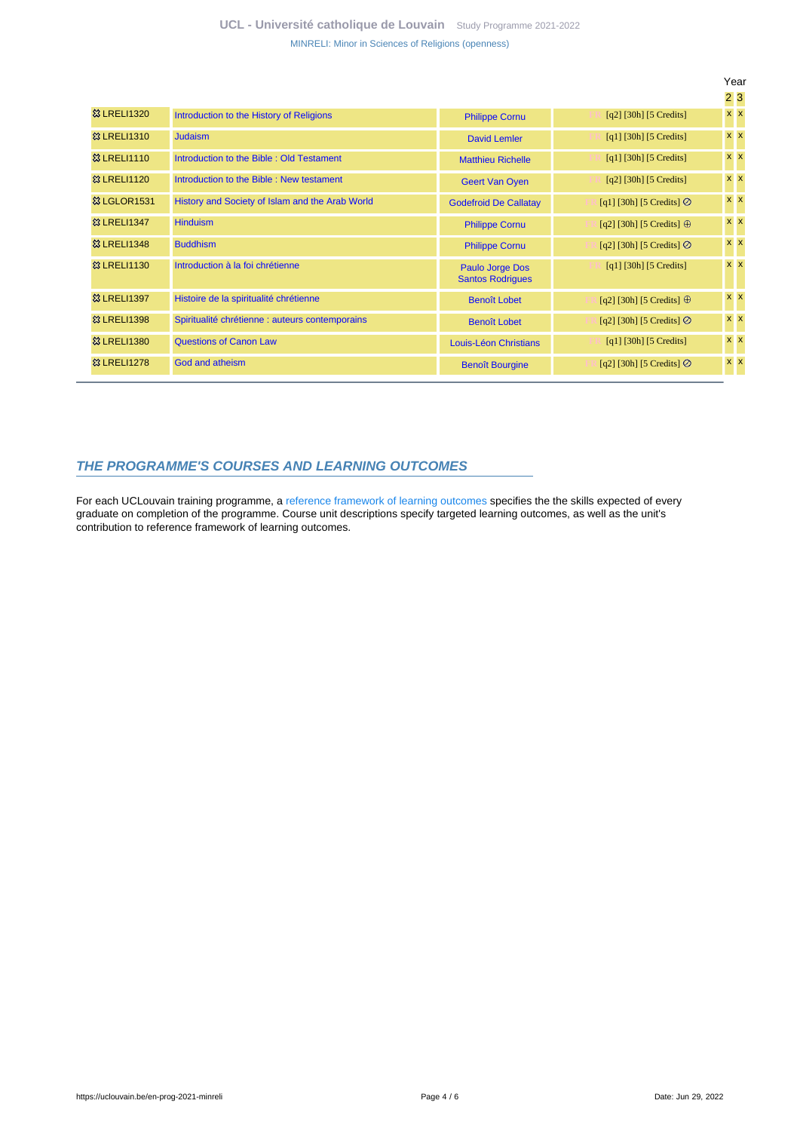**UCL - Université catholique de Louvain** [Study Programme 2021-2022](https://uclouvain.be/en/study-programme) [MINRELI: Minor in Sciences of Religions \(openness\)](https://uclouvain.be/en-prog-2021-minreli.html)

|                        |                                                 |                                            |                                       | Year           |  |
|------------------------|-------------------------------------------------|--------------------------------------------|---------------------------------------|----------------|--|
|                        |                                                 |                                            |                                       | 23             |  |
| <b>23   RFI 11320</b>  | Introduction to the History of Religions        | <b>Philippe Cornu</b>                      | $[q2]$ [30h] [5 Credits]              | $x \mid x$     |  |
| <b>&amp; LRELI1310</b> | <b>Judaism</b>                                  | <b>David Lemler</b>                        | [q1] [30h] [5 Credits]                | $x \, x$       |  |
| <b>&amp; LRELI1110</b> | Introduction to the Bible: Old Testament        | <b>Matthieu Richelle</b>                   | $[q1]$ [30h] [5 Credits]              | $x \times$     |  |
| <b>8 LRELI1120</b>     | Introduction to the Bible: New testament        | <b>Geert Van Oyen</b>                      | $[q2]$ [30h] [5 Credits]              | $x \times$     |  |
| <b>&amp; LGLOR1531</b> | History and Society of Islam and the Arab World | <b>Godefroid De Callatay</b>               | [q1] [30h] [5 Credits] $\oslash$      | $x \times$     |  |
| <b>&amp; LRELI1347</b> | <b>Hinduism</b>                                 | <b>Philippe Cornu</b>                      | [q2] [30h] [5 Credits] $\oplus$       | $x \mid x$     |  |
| <b>&amp; LRELI1348</b> | <b>Buddhism</b>                                 | <b>Philippe Cornu</b>                      | [q2] [30h] [5 Credits] $\oslash$      | $x \times$     |  |
| <b>&amp; LRELI1130</b> | Introduction à la foi chrétienne                | Paulo Jorge Dos<br><b>Santos Rodrigues</b> | $\lceil q_1 \rceil$ [30h] [5 Credits] | $x \times$     |  |
| 83 LRELI1397           | Histoire de la spiritualité chrétienne          | <b>Benoît Lobet</b>                        | [q2] [30h] [5 Credits] $\oplus$       | $x \mathbf{X}$ |  |
| <b>&amp; LRELI1398</b> | Spiritualité chrétienne : auteurs contemporains | <b>Benoît Lobet</b>                        | [q2] [30h] [5 Credits] $\oslash$      | $x \times$     |  |
| <b>&amp; LRELI1380</b> | <b>Questions of Canon Law</b>                   | Louis-Léon Christians                      | $[q1]$ [30h] [5 Credits]              | $x \mid x$     |  |
| <b>83 LRELI1278</b>    | God and atheism                                 | <b>Benoît Bourgine</b>                     | [q2] [30h] [5 Credits] $\oslash$      | $x \mid x$     |  |

#### <span id="page-3-0"></span>**THE PROGRAMME'S COURSES AND LEARNING OUTCOMES**

For each UCLouvain training programme, a [reference framework of learning outcomes](https://uclouvain.be/en-prog-2021-minreli-competences_et_acquis.html) specifies the the skills expected of every graduate on completion of the programme. Course unit descriptions specify targeted learning outcomes, as well as the unit's contribution to reference framework of learning outcomes.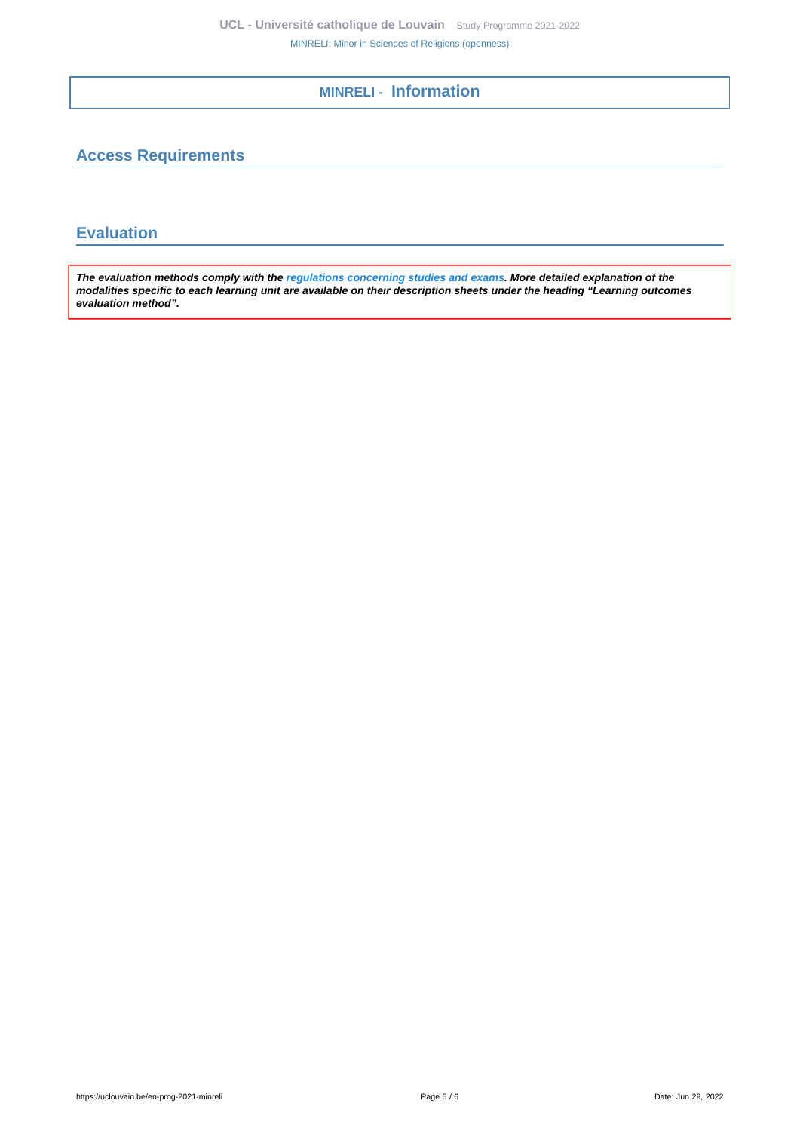**MINRELI - Information**

## <span id="page-4-1"></span><span id="page-4-0"></span>**Access Requirements**

### <span id="page-4-2"></span>**Evaluation**

**The evaluation methods comply with the [regulations concerning studies and exams](https://uclouvain.be/fr/decouvrir/rgee.html). More detailed explanation of the modalities specific to each learning unit are available on their description sheets under the heading "Learning outcomes evaluation method".**